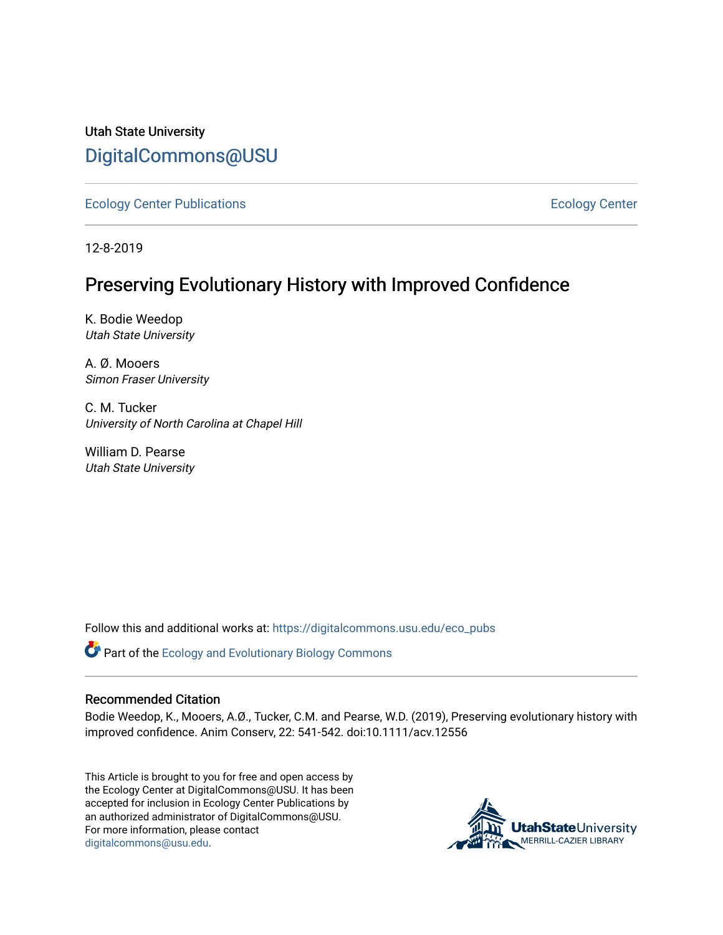Utah State University [DigitalCommons@USU](https://digitalcommons.usu.edu/)

[Ecology Center Publications](https://digitalcommons.usu.edu/eco_pubs) [Ecology Center](https://digitalcommons.usu.edu/eco_center) 

12-8-2019

# Preserving Evolutionary History with Improved Confidence

K. Bodie Weedop Utah State University

A. Ø. Mooers Simon Fraser University

C. M. Tucker University of North Carolina at Chapel Hill

William D. Pearse Utah State University

Follow this and additional works at: [https://digitalcommons.usu.edu/eco\\_pubs](https://digitalcommons.usu.edu/eco_pubs?utm_source=digitalcommons.usu.edu%2Feco_pubs%2F102&utm_medium=PDF&utm_campaign=PDFCoverPages) 

Part of the [Ecology and Evolutionary Biology Commons](http://network.bepress.com/hgg/discipline/14?utm_source=digitalcommons.usu.edu%2Feco_pubs%2F102&utm_medium=PDF&utm_campaign=PDFCoverPages)

## Recommended Citation

Bodie Weedop, K., Mooers, A.Ø., Tucker, C.M. and Pearse, W.D. (2019), Preserving evolutionary history with improved confidence. Anim Conserv, 22: 541-542. doi:10.1111/acv.12556

This Article is brought to you for free and open access by the Ecology Center at DigitalCommons@USU. It has been accepted for inclusion in Ecology Center Publications by an authorized administrator of DigitalCommons@USU. For more information, please contact [digitalcommons@usu.edu.](mailto:digitalcommons@usu.edu)

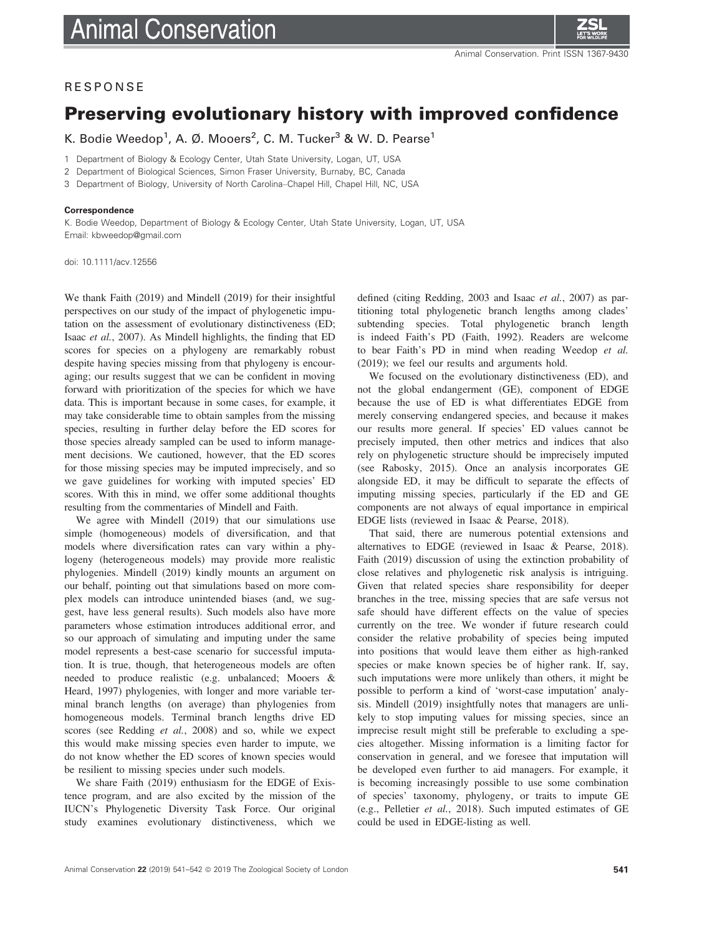

### **RESPONSE**

## Preserving evolutionary history with improved confidence

K. Bodie Weedop<sup>1</sup>, A. Ø. Mooers<sup>2</sup>, C. M. Tucker<sup>3</sup> & W. D. Pearse<sup>1</sup>

1 Department of Biology & Ecology Center, Utah State University, Logan, UT, USA

- 2 Department of Biological Sciences, Simon Fraser University, Burnaby, BC, Canada
- 3 Department of Biology, University of North Carolina–Chapel Hill, Chapel Hill, NC, USA

#### Correspondence

K. Bodie Weedop, Department of Biology & Ecology Center, Utah State University, Logan, UT, USA Email: [kbweedop@gmail.com](mailto:)

doi: 10.1111/acv.12556

We thank Faith (2019) and Mindell (2019) for their insightful perspectives on our study of the impact of phylogenetic imputation on the assessment of evolutionary distinctiveness (ED; Isaac et al., 2007). As Mindell highlights, the finding that ED scores for species on a phylogeny are remarkably robust despite having species missing from that phylogeny is encouraging; our results suggest that we can be confident in moving forward with prioritization of the species for which we have data. This is important because in some cases, for example, it may take considerable time to obtain samples from the missing species, resulting in further delay before the ED scores for those species already sampled can be used to inform management decisions. We cautioned, however, that the ED scores for those missing species may be imputed imprecisely, and so we gave guidelines for working with imputed species' ED scores. With this in mind, we offer some additional thoughts resulting from the commentaries of Mindell and Faith.

We agree with Mindell (2019) that our simulations use simple (homogeneous) models of diversification, and that models where diversification rates can vary within a phylogeny (heterogeneous models) may provide more realistic phylogenies. Mindell (2019) kindly mounts an argument on our behalf, pointing out that simulations based on more complex models can introduce unintended biases (and, we suggest, have less general results). Such models also have more parameters whose estimation introduces additional error, and so our approach of simulating and imputing under the same model represents a best-case scenario for successful imputation. It is true, though, that heterogeneous models are often needed to produce realistic (e.g. unbalanced; Mooers & Heard, 1997) phylogenies, with longer and more variable terminal branch lengths (on average) than phylogenies from homogeneous models. Terminal branch lengths drive ED scores (see Redding et al., 2008) and so, while we expect this would make missing species even harder to impute, we do not know whether the ED scores of known species would be resilient to missing species under such models.

We share Faith (2019) enthusiasm for the EDGE of Existence program, and are also excited by the mission of the IUCN's Phylogenetic Diversity Task Force. Our original study examines evolutionary distinctiveness, which we

defined (citing Redding, 2003 and Isaac et al., 2007) as partitioning total phylogenetic branch lengths among clades' subtending species. Total phylogenetic branch length is indeed Faith's PD (Faith, 1992). Readers are welcome to bear Faith's PD in mind when reading Weedop et al. (2019); we feel our results and arguments hold.

We focused on the evolutionary distinctiveness (ED), and not the global endangerment (GE), component of EDGE because the use of ED is what differentiates EDGE from merely conserving endangered species, and because it makes our results more general. If species' ED values cannot be precisely imputed, then other metrics and indices that also rely on phylogenetic structure should be imprecisely imputed (see Rabosky, 2015). Once an analysis incorporates GE alongside ED, it may be difficult to separate the effects of imputing missing species, particularly if the ED and GE components are not always of equal importance in empirical EDGE lists (reviewed in Isaac & Pearse, 2018).

That said, there are numerous potential extensions and alternatives to EDGE (reviewed in Isaac & Pearse, 2018). Faith (2019) discussion of using the extinction probability of close relatives and phylogenetic risk analysis is intriguing. Given that related species share responsibility for deeper branches in the tree, missing species that are safe versus not safe should have different effects on the value of species currently on the tree. We wonder if future research could consider the relative probability of species being imputed into positions that would leave them either as high-ranked species or make known species be of higher rank. If, say, such imputations were more unlikely than others, it might be possible to perform a kind of 'worst-case imputation' analysis. Mindell (2019) insightfully notes that managers are unlikely to stop imputing values for missing species, since an imprecise result might still be preferable to excluding a species altogether. Missing information is a limiting factor for conservation in general, and we foresee that imputation will be developed even further to aid managers. For example, it is becoming increasingly possible to use some combination of species' taxonomy, phylogeny, or traits to impute GE (e.g., Pelletier et al., 2018). Such imputed estimates of GE could be used in EDGE-listing as well.